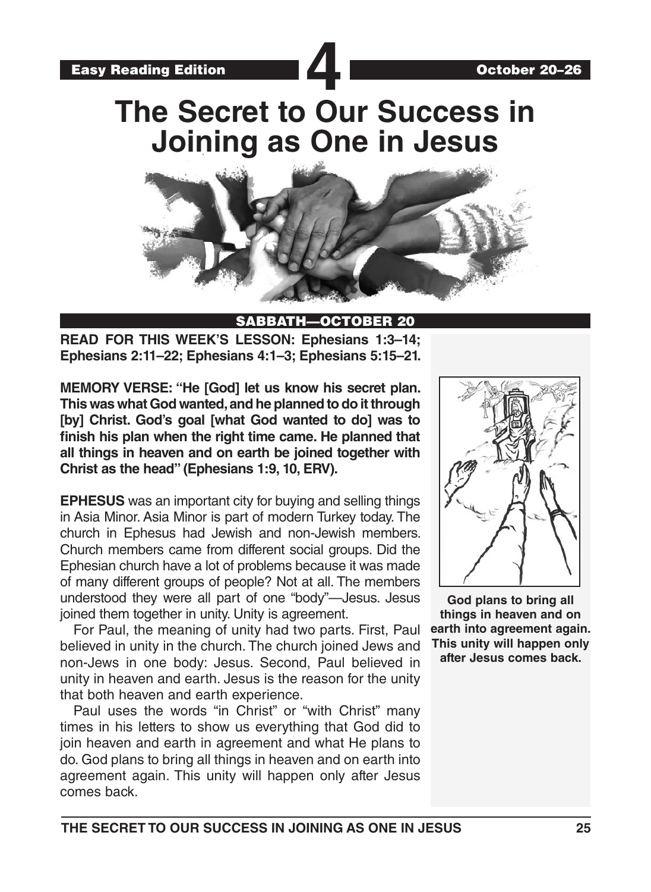**The Secret to Our Success in Joining as One in Jesus**



#### SABBATH—OCTOBER 20

**READ FOR THIS WEEK'S LESSON: Ephesians 1:3–14; Ephesians 2:11–22; Ephesians 4:1–3; Ephesians 5:15–21.**

**MEMORY VERSE: "He [God] let us know his secret plan. This was what God wanted, and he planned to do it through [by] Christ. God's goal [what God wanted to do] was to finish his plan when the right time came. He planned that all things in heaven and on earth be joined together with Christ as the head" (Ephesians 1:9, 10, ERV).**

**EPHESUS** was an important city for buying and selling things in Asia Minor. Asia Minor is part of modern Turkey today. The church in Ephesus had Jewish and non-Jewish members. Church members came from different social groups. Did the Ephesian church have a lot of problems because it was made of many different groups of people? Not at all. The members understood they were all part of one "body"—Jesus. Jesus joined them together in unity. Unity is agreement.

For Paul, the meaning of unity had two parts. First, Paul believed in unity in the church. The church joined Jews and non-Jews in one body: Jesus. Second, Paul believed in unity in heaven and earth. Jesus is the reason for the unity that both heaven and earth experience.

Paul uses the words "in Christ" or "with Christ" many times in his letters to show us everything that God did to join heaven and earth in agreement and what He plans to do. God plans to bring all things in heaven and on earth into agreement again. This unity will happen only after Jesus comes back.



**God plans to bring all things in heaven and on earth into agreement again. This unity will happen only after Jesus comes back.**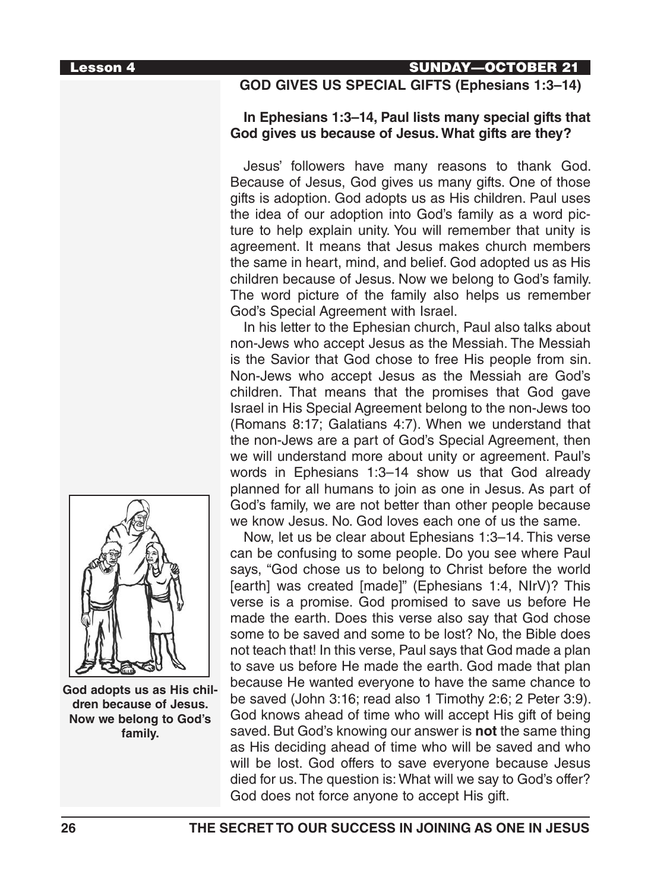# Lesson 4 SUNDAY—OCTOBER 21

# **GOD GIVES US SPECIAL GIFTS (Ephesians 1:3–14)**

#### **In Ephesians 1:3–14, Paul lists many special gifts that God gives us because of Jesus. What gifts are they?**

Jesus' followers have many reasons to thank God. Because of Jesus, God gives us many gifts. One of those gifts is adoption. God adopts us as His children. Paul uses the idea of our adoption into God's family as a word picture to help explain unity. You will remember that unity is agreement. It means that Jesus makes church members the same in heart, mind, and belief. God adopted us as His children because of Jesus. Now we belong to God's family. The word picture of the family also helps us remember God's Special Agreement with Israel.

In his letter to the Ephesian church, Paul also talks about non-Jews who accept Jesus as the Messiah. The Messiah is the Savior that God chose to free His people from sin. Non-Jews who accept Jesus as the Messiah are God's children. That means that the promises that God gave Israel in His Special Agreement belong to the non-Jews too (Romans 8:17; Galatians 4:7). When we understand that the non-Jews are a part of God's Special Agreement, then we will understand more about unity or agreement. Paul's words in Ephesians 1:3–14 show us that God already planned for all humans to join as one in Jesus. As part of God's family, we are not better than other people because we know Jesus. No. God loves each one of us the same.

Now, let us be clear about Ephesians 1:3–14. This verse can be confusing to some people. Do you see where Paul says, "God chose us to belong to Christ before the world [earth] was created [made]" (Ephesians 1:4, NIrV)? This verse is a promise. God promised to save us before He made the earth. Does this verse also say that God chose some to be saved and some to be lost? No, the Bible does not teach that! In this verse, Paul says that God made a plan to save us before He made the earth. God made that plan because He wanted everyone to have the same chance to be saved (John 3:16; read also 1 Timothy 2:6; 2 Peter 3:9). God knows ahead of time who will accept His gift of being saved. But God's knowing our answer is **not** the same thing as His deciding ahead of time who will be saved and who will be lost. God offers to save everyone because Jesus died for us. The question is: What will we say to God's offer? God does not force anyone to accept His gift.



**God adopts us as His children because of Jesus. Now we belong to God's family.**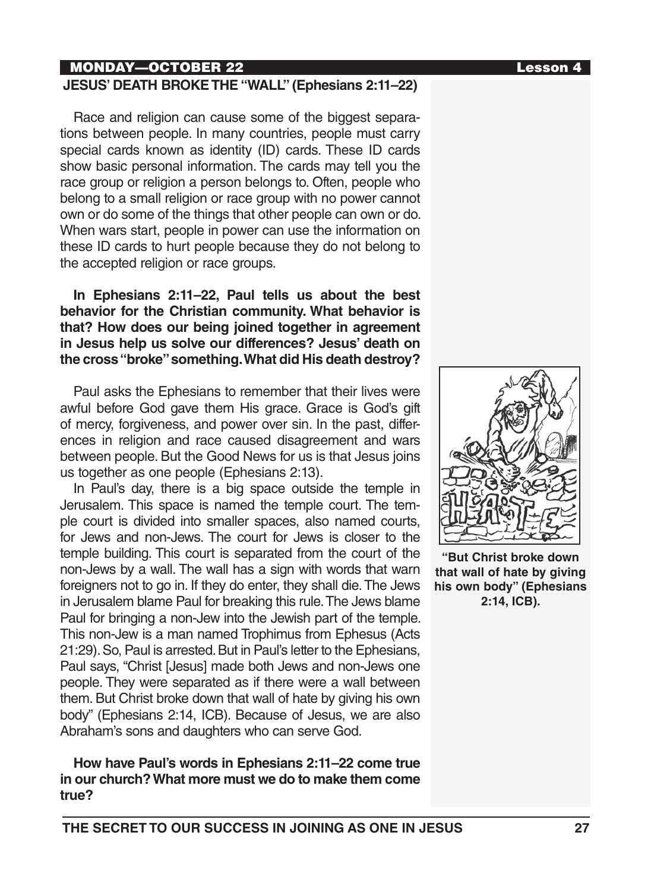# MONDAY—OCTOBER 22 Lesson 4

#### **JESUS' DEATH BROKE THE "WALL" (Ephesians 2:11–22)**

Race and religion can cause some of the biggest separations between people. In many countries, people must carry special cards known as identity (ID) cards. These ID cards show basic personal information. The cards may tell you the race group or religion a person belongs to. Often, people who belong to a small religion or race group with no power cannot own or do some of the things that other people can own or do. When wars start, people in power can use the information on these ID cards to hurt people because they do not belong to the accepted religion or race groups.

**In Ephesians 2:11–22, Paul tells us about the best behavior for the Christian community. What behavior is that? How does our being joined together in agreement in Jesus help us solve our differences? Jesus' death on the cross "broke" something. What did His death destroy?**

Paul asks the Ephesians to remember that their lives were awful before God gave them His grace. Grace is God's gift of mercy, forgiveness, and power over sin. In the past, differences in religion and race caused disagreement and wars between people. But the Good News for us is that Jesus joins us together as one people (Ephesians 2:13).

In Paul's day, there is a big space outside the temple in Jerusalem. This space is named the temple court. The temple court is divided into smaller spaces, also named courts, for Jews and non-Jews. The court for Jews is closer to the temple building. This court is separated from the court of the non-Jews by a wall. The wall has a sign with words that warn foreigners not to go in. If they do enter, they shall die. The Jews in Jerusalem blame Paul for breaking this rule. The Jews blame Paul for bringing a non-Jew into the Jewish part of the temple. This non-Jew is a man named Trophimus from Ephesus (Acts 21:29). So, Paul is arrested. But in Paul's letter to the Ephesians, Paul says, "Christ [Jesus] made both Jews and non-Jews one people. They were separated as if there were a wall between them. But Christ broke down that wall of hate by giving his own body" (Ephesians 2:14, ICB). Because of Jesus, we are also Abraham's sons and daughters who can serve God.

**How have Paul's words in Ephesians 2:11–22 come true in our church? What more must we do to make them come true?**



**"But Christ broke down that wall of hate by giving his own body" (Ephesians 2:14, ICB).**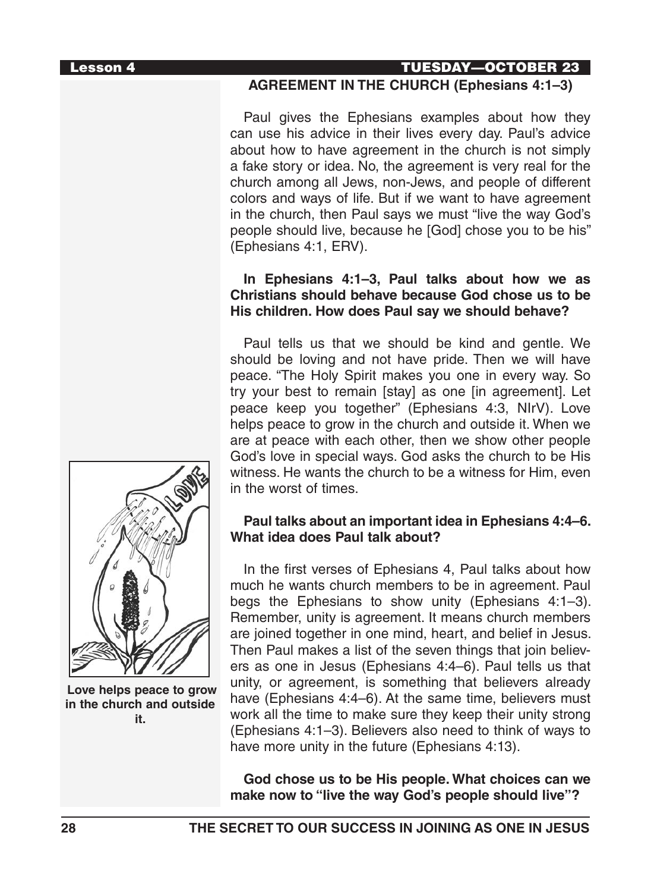## Lesson 4 TUESDAY—OCTOBER 23

#### **AGREEMENT IN THE CHURCH (Ephesians 4:1–3)**

Paul gives the Ephesians examples about how they can use his advice in their lives every day. Paul's advice about how to have agreement in the church is not simply a fake story or idea. No, the agreement is very real for the church among all Jews, non-Jews, and people of different colors and ways of life. But if we want to have agreement in the church, then Paul says we must "live the way God's people should live, because he [God] chose you to be his" (Ephesians 4:1, ERV).

#### **In Ephesians 4:1–3, Paul talks about how we as Christians should behave because God chose us to be His children. How does Paul say we should behave?**

Paul tells us that we should be kind and gentle. We should be loving and not have pride. Then we will have peace. "The Holy Spirit makes you one in every way. So try your best to remain [stay] as one [in agreement]. Let peace keep you together" (Ephesians 4:3, NIrV). Love helps peace to grow in the church and outside it. When we are at peace with each other, then we show other people God's love in special ways. God asks the church to be His witness. He wants the church to be a witness for Him, even in the worst of times.

## **Paul talks about an important idea in Ephesians 4:4–6. What idea does Paul talk about?**

In the first verses of Ephesians 4, Paul talks about how much he wants church members to be in agreement. Paul begs the Ephesians to show unity (Ephesians 4:1–3). Remember, unity is agreement. It means church members are joined together in one mind, heart, and belief in Jesus. Then Paul makes a list of the seven things that join believers as one in Jesus (Ephesians 4:4–6). Paul tells us that unity, or agreement, is something that believers already have (Ephesians 4:4–6). At the same time, believers must work all the time to make sure they keep their unity strong (Ephesians 4:1–3). Believers also need to think of ways to have more unity in the future (Ephesians 4:13).

**God chose us to be His people. What choices can we make now to "live the way God's people should live"?**



 **Love helps peace to grow in the church and outside it.**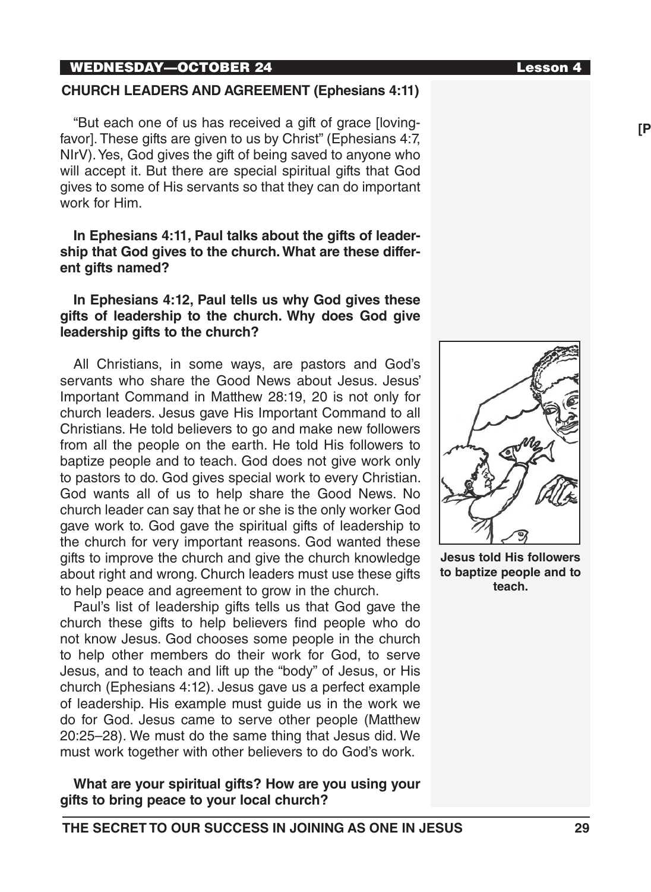## WEDNESDAY—OCTOBER 24 Lesson 4

# **CHURCH LEADERS AND AGREEMENT (Ephesians 4:11)**

"But each one of us has received a gift of grace [lovingfavor]. These gifts are given to us by Christ" (Ephesians 4:7, NIrV). Yes, God gives the gift of being saved to anyone who will accept it. But there are special spiritual gifts that God gives to some of His servants so that they can do important work for Him.

#### **In Ephesians 4:11, Paul talks about the gifts of leadership that God gives to the church. What are these different gifts named?**

# **In Ephesians 4:12, Paul tells us why God gives these gifts of leadership to the church. Why does God give leadership gifts to the church?**

All Christians, in some ways, are pastors and God's servants who share the Good News about Jesus. Jesus' Important Command in Matthew 28:19, 20 is not only for church leaders. Jesus gave His Important Command to all Christians. He told believers to go and make new followers from all the people on the earth. He told His followers to baptize people and to teach. God does not give work only to pastors to do. God gives special work to every Christian. God wants all of us to help share the Good News. No church leader can say that he or she is the only worker God gave work to. God gave the spiritual gifts of leadership to the church for very important reasons. God wanted these gifts to improve the church and give the church knowledge about right and wrong. Church leaders must use these gifts to help peace and agreement to grow in the church.

Paul's list of leadership gifts tells us that God gave the church these gifts to help believers find people who do not know Jesus. God chooses some people in the church to help other members do their work for God, to serve Jesus, and to teach and lift up the "body" of Jesus, or His church (Ephesians 4:12). Jesus gave us a perfect example of leadership. His example must guide us in the work we do for God. Jesus came to serve other people (Matthew 20:25–28). We must do the same thing that Jesus did. We must work together with other believers to do God's work.

**What are your spiritual gifts? How are you using your gifts to bring peace to your local church?**



**Jesus told His followers to baptize people and to teach.**

**[PIX #15]**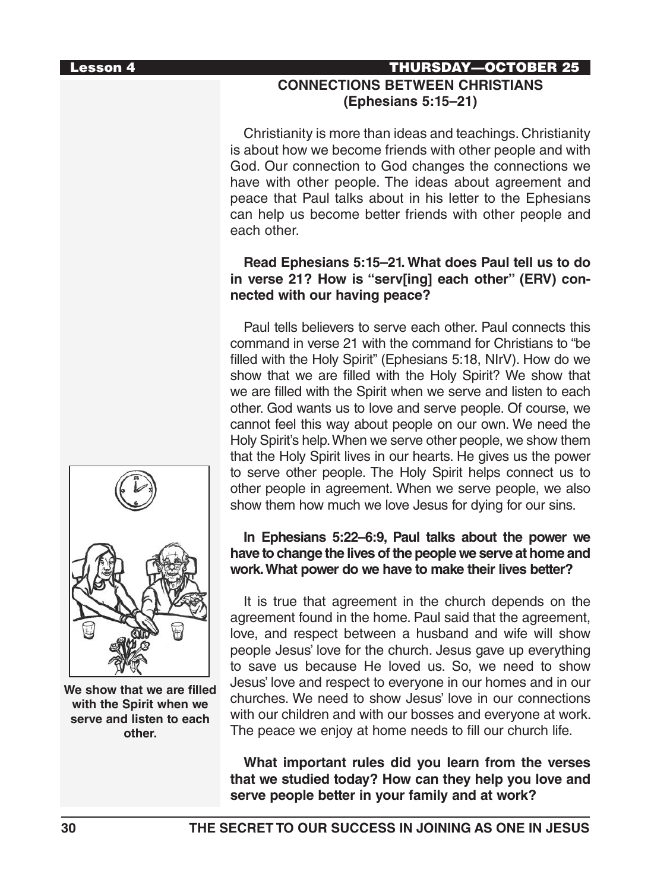# Lesson 4 THURSDAY—OCTOBER 25 **CONNECTIONS BETWEEN CHRISTIANS (Ephesians 5:15–21)**

Christianity is more than ideas and teachings. Christianity is about how we become friends with other people and with God. Our connection to God changes the connections we have with other people. The ideas about agreement and peace that Paul talks about in his letter to the Ephesians can help us become better friends with other people and each other.

# **Read Ephesians 5:15–21. What does Paul tell us to do in verse 21? How is "serv[ing] each other" (ERV) connected with our having peace?**

Paul tells believers to serve each other. Paul connects this command in verse 21 with the command for Christians to "be filled with the Holy Spirit" (Ephesians 5:18, NIrV). How do we show that we are filled with the Holy Spirit? We show that we are filled with the Spirit when we serve and listen to each other. God wants us to love and serve people. Of course, we cannot feel this way about people on our own. We need the Holy Spirit's help. When we serve other people, we show them that the Holy Spirit lives in our hearts. He gives us the power to serve other people. The Holy Spirit helps connect us to other people in agreement. When we serve people, we also show them how much we love Jesus for dying for our sins.

#### **In Ephesians 5:22–6:9, Paul talks about the power we have to change the lives of the people we serve at home and work. What power do we have to make their lives better?**

It is true that agreement in the church depends on the agreement found in the home. Paul said that the agreement, love, and respect between a husband and wife will show people Jesus' love for the church. Jesus gave up everything to save us because He loved us. So, we need to show Jesus' love and respect to everyone in our homes and in our churches. We need to show Jesus' love in our connections with our children and with our bosses and everyone at work. The peace we enjoy at home needs to fill our church life.

**What important rules did you learn from the verses that we studied today? How can they help you love and serve people better in your family and at work?**



**We show that we are filled with the Spirit when we serve and listen to each other.**